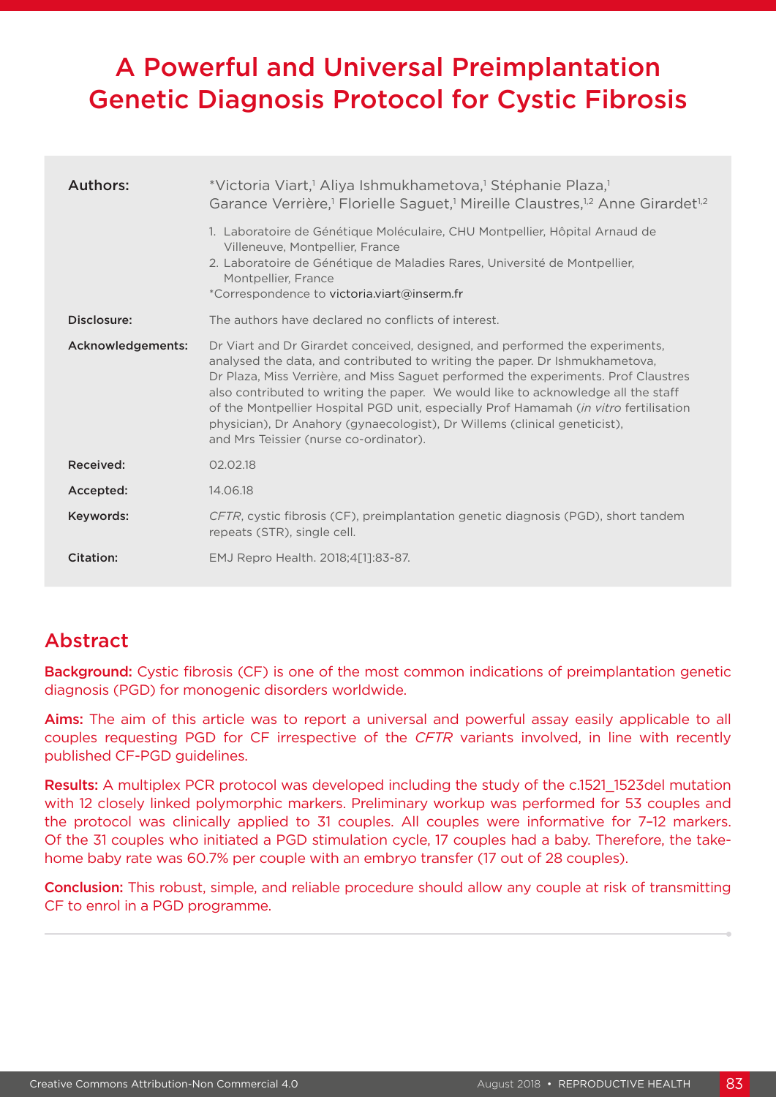# A Powerful and Universal Preimplantation Genetic Diagnosis Protocol for Cystic Fibrosis

| Authors:          | *Victoria Viart, <sup>1</sup> Aliya Ishmukhametova, <sup>1</sup> Stéphanie Plaza, <sup>1</sup><br>Garance Verrière, <sup>1</sup> Florielle Saguet, <sup>1</sup> Mireille Claustres, <sup>1,2</sup> Anne Girardet <sup>1,2</sup><br>1. Laboratoire de Génétique Moléculaire, CHU Montpellier, Hôpital Arnaud de<br>Villeneuve, Montpellier, France<br>2. Laboratoire de Génétique de Maladies Rares, Université de Montpellier,<br>Montpellier, France<br>*Correspondence to victoria.viart@inserm.fr                                                          |  |  |
|-------------------|---------------------------------------------------------------------------------------------------------------------------------------------------------------------------------------------------------------------------------------------------------------------------------------------------------------------------------------------------------------------------------------------------------------------------------------------------------------------------------------------------------------------------------------------------------------|--|--|
| Disclosure:       | The authors have declared no conflicts of interest.                                                                                                                                                                                                                                                                                                                                                                                                                                                                                                           |  |  |
| Acknowledgements: | Dr Viart and Dr Girardet conceived, designed, and performed the experiments,<br>analysed the data, and contributed to writing the paper. Dr Ishmukhametova,<br>Dr Plaza, Miss Verrière, and Miss Saguet performed the experiments. Prof Claustres<br>also contributed to writing the paper. We would like to acknowledge all the staff<br>of the Montpellier Hospital PGD unit, especially Prof Hamamah <i>(in vitro</i> fertilisation<br>physician), Dr Anahory (gynaecologist), Dr Willems (clinical geneticist),<br>and Mrs Teissier (nurse co-ordinator). |  |  |
| Received:         | 02.02.18                                                                                                                                                                                                                                                                                                                                                                                                                                                                                                                                                      |  |  |
| Accepted:         | 14.06.18                                                                                                                                                                                                                                                                                                                                                                                                                                                                                                                                                      |  |  |
| Keywords:         | CFTR, cystic fibrosis (CF), preimplantation genetic diagnosis (PGD), short tandem<br>repeats (STR), single cell.                                                                                                                                                                                                                                                                                                                                                                                                                                              |  |  |
| Citation:         | EMJ Repro Health. 2018;4[1]:83-87.                                                                                                                                                                                                                                                                                                                                                                                                                                                                                                                            |  |  |

## Abstract

**Background:** Cystic fibrosis (CF) is one of the most common indications of preimplantation genetic diagnosis (PGD) for monogenic disorders worldwide.

Aims: The aim of this article was to report a universal and powerful assay easily applicable to all couples requesting PGD for CF irrespective of the *CFTR* variants involved, in line with recently published CF-PGD guidelines.

Results: A multiplex PCR protocol was developed including the study of the c.1521 1523del mutation with 12 closely linked polymorphic markers. Preliminary workup was performed for 53 couples and the protocol was clinically applied to 31 couples. All couples were informative for 7–12 markers. Of the 31 couples who initiated a PGD stimulation cycle, 17 couples had a baby. Therefore, the takehome baby rate was 60.7% per couple with an embryo transfer (17 out of 28 couples).

Conclusion: This robust, simple, and reliable procedure should allow any couple at risk of transmitting CF to enrol in a PGD programme.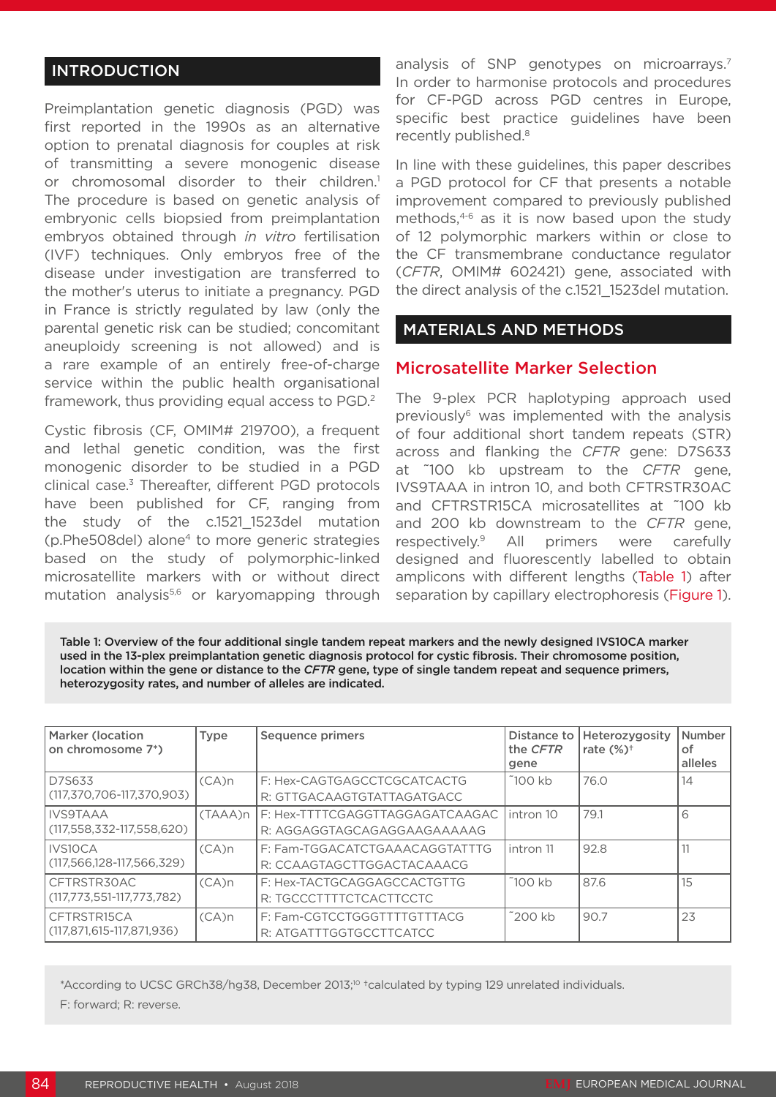## INTRODUCTION

Preimplantation genetic diagnosis (PGD) was first reported in the 1990s as an alternative option to prenatal diagnosis for couples at risk of transmitting a severe monogenic disease or chromosomal disorder to their children.<sup>1</sup> The procedure is based on genetic analysis of embryonic cells biopsied from preimplantation embryos obtained through *in vitro* fertilisation (IVF) techniques. Only embryos free of the disease under investigation are transferred to the mother's uterus to initiate a pregnancy. PGD in France is strictly regulated by law (only the parental genetic risk can be studied; concomitant aneuploidy screening is not allowed) and is a rare example of an entirely free-of-charge service within the public health organisational framework, thus providing equal access to PGD.2

Cystic fibrosis (CF, OMIM# 219700), a frequent and lethal genetic condition, was the first monogenic disorder to be studied in a PGD clinical case.3 Thereafter, different PGD protocols have been published for CF, ranging from the study of the c.1521 1523del mutation (p.Phe508del) alone4 to more generic strategies based on the study of polymorphic-linked microsatellite markers with or without direct mutation analysis<sup>5,6</sup> or karyomapping through analysis of SNP genotypes on microarrays.<sup>7</sup> In order to harmonise protocols and procedures for CF-PGD across PGD centres in Europe, specific best practice guidelines have been recently published.<sup>8</sup>

In line with these guidelines, this paper describes a PGD protocol for CF that presents a notable improvement compared to previously published methods,4-6 as it is now based upon the study of 12 polymorphic markers within or close to the CF transmembrane conductance regulator (*CFTR*, OMIM# 602421) gene, associated with the direct analysis of the c.1521\_1523del mutation.

#### MATERIALS AND METHODS

#### Microsatellite Marker Selection

The 9-plex PCR haplotyping approach used previously6 was implemented with the analysis of four additional short tandem repeats (STR) across and flanking the *CFTR* gene: D7S633 at ~100 kb upstream to the *CFTR* gene, IVS9TAAA in intron 10, and both CFTRSTR30AC and CFTRSTR15CA microsatellites at ~100 kb and 200 kb downstream to the *CFTR* gene, respectively.9 All primers were carefully designed and fluorescently labelled to obtain amplicons with different lengths (Table 1) after separation by capillary electrophoresis (Figure 1).

Table 1: Overview of the four additional single tandem repeat markers and the newly designed IVS10CA marker used in the 13-plex preimplantation genetic diagnosis protocol for cystic fibrosis. Their chromosome position, location within the gene or distance to the *CFTR* gene, type of single tandem repeat and sequence primers, heterozygosity rates, and number of alleles are indicated.

| <b>Marker (location</b><br>on chromosome 7*)        | <b>Type</b> | Sequence primers                                                 | Distance to<br>the CFTR<br>gene | Heterozygosity<br>rate $(\%)^{\dagger}$ | Number<br>оf<br>alleles |
|-----------------------------------------------------|-------------|------------------------------------------------------------------|---------------------------------|-----------------------------------------|-------------------------|
| D7S633<br>(117,370,706-117,370,903)                 | $(CA)$ n    | F: Hex-CAGTGAGCCTCGCATCACTG<br>R: GTTGACAAGTGTATTAGATGACC        | $\tilde{}$ 100 kb               | 76.0                                    | 14                      |
| IIVS9TAAA<br>$(117, 558, 332 - 117, 558, 620)$      | (TAAA)n     | I F: Hex-TTTTCGAGGTTAGGAGATCAAGAC<br>R: AGGAGGTAGCAGAGGAAGAAAAAG | intron 10                       | 79.1                                    | 6                       |
| <b>IVS10CA</b><br>$(117, 566, 128 - 117, 566, 329)$ | $(CA)$ n    | F: Fam-TGGACATCTGAAACAGGTATTTG<br>R: CCAAGTAGCTTGGACTACAAACG     | intron 11                       | 92.8                                    | 11                      |
| CFTRSTR30AC<br>$(117,773,551-117,773,782)$          | $(CA)$ n    | F: Hex-TACTGCAGGAGCCACTGTTG<br>R: TGCCCTTTTCTCACTTCCTC           | 100kb                           | 87.6                                    | 15                      |
| CFTRSTR15CA<br>(117.871.615-117.871.936)            | $(CA)$ n    | F: Fam-CGTCCTGGGTTTTGTTTACG<br>R: ATGATTTGGTGCCTTCATCC           | ~200 kb                         | 90.7                                    | 23                      |

\*According to UCSC GRCh38/hg38, December 2013;10 †calculated by typing 129 unrelated individuals. F: forward; R: reverse.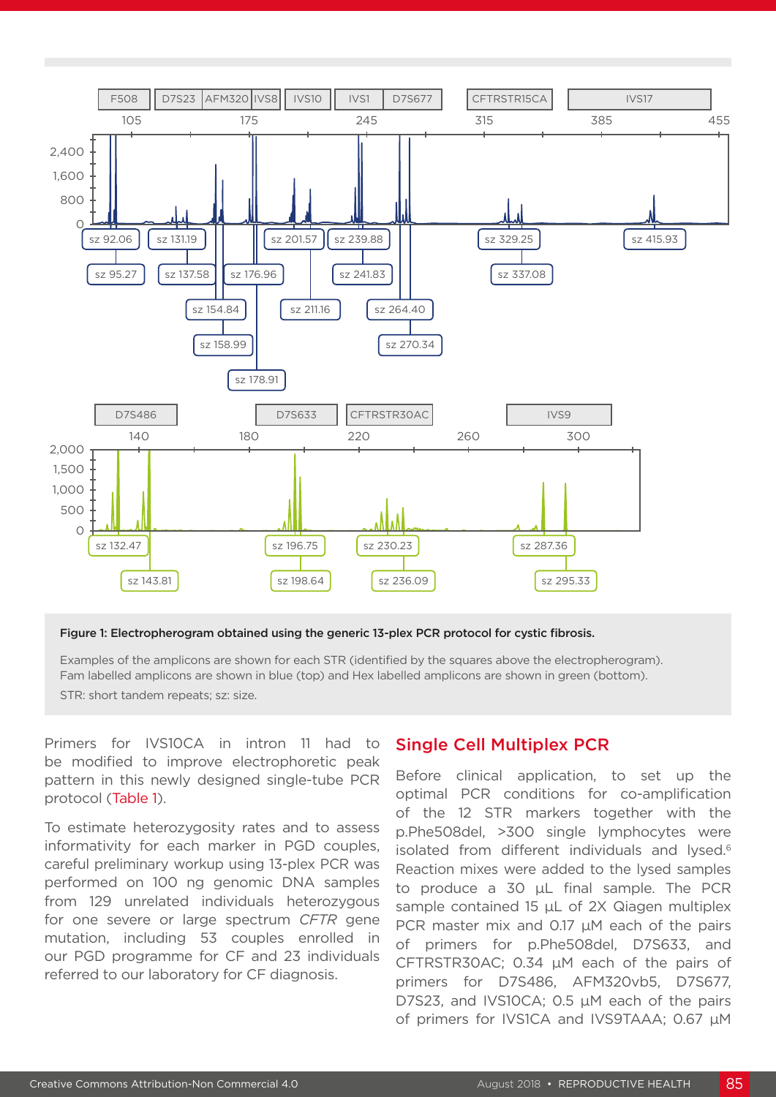

#### Figure 1: Electropherogram obtained using the generic 13-plex PCR protocol for cystic fibrosis.

Examples of the amplicons are shown for each STR (identified by the squares above the electropherogram). Fam labelled amplicons are shown in blue (top) and Hex labelled amplicons are shown in green (bottom). STR: short tandem repeats; sz: size.

Primers for IVS10CA in intron 11 had to be modified to improve electrophoretic peak pattern in this newly designed single-tube PCR protocol (Table 1).

To estimate heterozygosity rates and to assess informativity for each marker in PGD couples, careful preliminary workup using 13-plex PCR was performed on 100 ng genomic DNA samples from 129 unrelated individuals heterozygous for one severe or large spectrum *CFTR* gene mutation, including 53 couples enrolled in our PGD programme for CF and 23 individuals referred to our laboratory for CF diagnosis.

#### Single Cell Multiplex PCR

Before clinical application, to set up the optimal PCR conditions for co-amplification of the 12 STR markers together with the p.Phe508del, >300 single lymphocytes were isolated from different individuals and lysed.<sup>6</sup> Reaction mixes were added to the lysed samples to produce a 30 μL final sample. The PCR sample contained 15 uL of 2X Qiagen multiplex PCR master mix and 0.17 µM each of the pairs of primers for p.Phe508del, D7S633, and CFTRSTR30AC; 0.34 µM each of the pairs of primers for D7S486, AFM320vb5, D7S677, D7S23, and IVS10CA; 0.5 µM each of the pairs of primers for IVS1CA and IVS9TAAA; 0.67 µM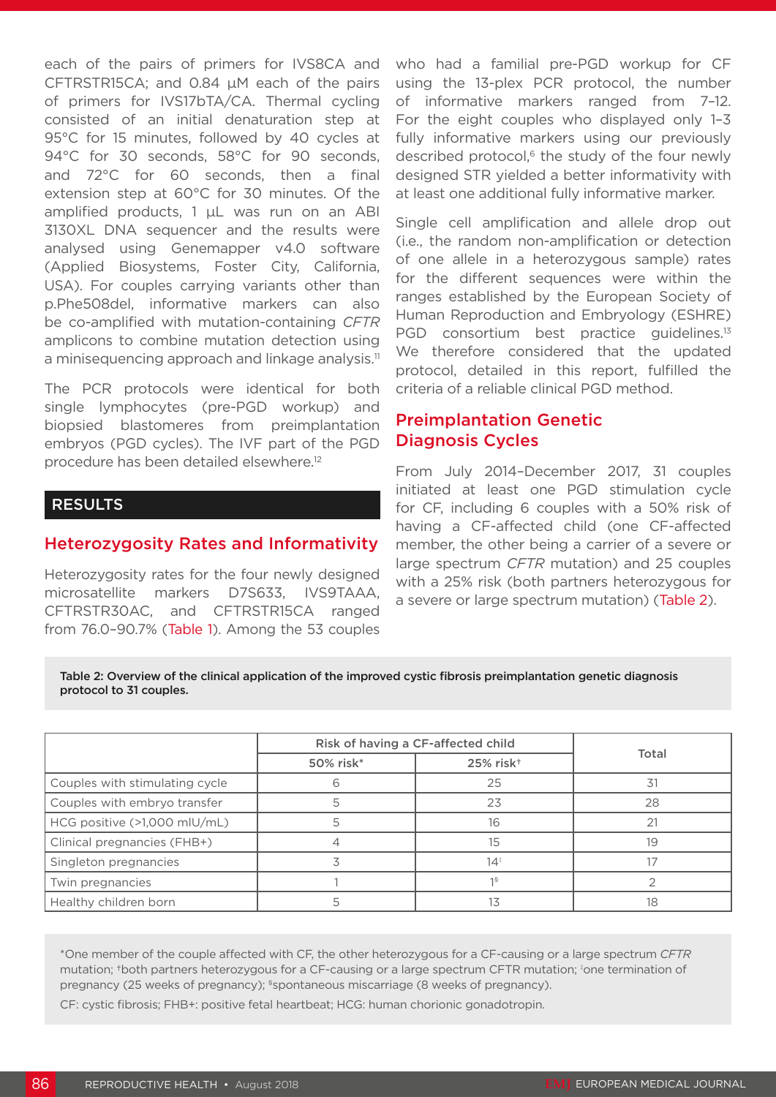each of the pairs of primers for IVS8CA and CFTRSTR15CA; and 0.84 µM each of the pairs of primers for IVS17bTA/CA. Thermal cycling consisted of an initial denaturation step at 95°C for 15 minutes, followed by 40 cycles at 94°C for 30 seconds, 58°C for 90 seconds, and 72°C for 60 seconds, then a final extension step at 60°C for 30 minutes. Of the amplified products, 1 μL was run on an ABI 3130XL DNA sequencer and the results were analysed using Genemapper v4.0 software (Applied Biosystems, Foster City, California, USA). For couples carrying variants other than p.Phe508del, informative markers can also be co-amplified with mutation-containing *CFTR* amplicons to combine mutation detection using a minisequencing approach and linkage analysis.<sup>11</sup>

The PCR protocols were identical for both single lymphocytes (pre-PGD workup) and biopsied blastomeres from preimplantation embryos (PGD cycles). The IVF part of the PGD procedure has been detailed elsewhere.12

### RESULTS

#### Heterozygosity Rates and Informativity

Heterozygosity rates for the four newly designed microsatellite markers D7S633, IVS9TAAA, CFTRSTR30AC, and CFTRSTR15CA ranged from 76.0–90.7% (Table 1). Among the 53 couples

who had a familial pre-PGD workup for CF using the 13-plex PCR protocol, the number of informative markers ranged from 7–12. For the eight couples who displayed only 1–3 fully informative markers using our previously described protocol,<sup>6</sup> the study of the four newly designed STR yielded a better informativity with at least one additional fully informative marker.

Single cell amplification and allele drop out (i.e., the random non-amplification or detection of one allele in a heterozygous sample) rates for the different sequences were within the ranges established by the European Society of Human Reproduction and Embryology (ESHRE) PGD consortium best practice guidelines.<sup>13</sup> We therefore considered that the updated protocol, detailed in this report, fulfilled the criteria of a reliable clinical PGD method.

## Preimplantation Genetic Diagnosis Cycles

From July 2014–December 2017, 31 couples initiated at least one PGD stimulation cycle for CF, including 6 couples with a 50% risk of having a CF-affected child (one CF-affected member, the other being a carrier of a severe or large spectrum *CFTR* mutation) and 25 couples with a 25% risk (both partners heterozygous for a severe or large spectrum mutation) (Table 2).

#### Table 2: Overview of the clinical application of the improved cystic fibrosis preimplantation genetic diagnosis protocol to 31 couples.

|                                | Risk of having a CF-affected child |                       |       |  |
|--------------------------------|------------------------------------|-----------------------|-------|--|
|                                | 50% risk*                          | 25% risk <sup>+</sup> | Total |  |
| Couples with stimulating cycle | h                                  | 25                    | 31    |  |
| Couples with embryo transfer   | 5                                  | 23                    | 28    |  |
| HCG positive (>1,000 mlU/mL)   |                                    | 16                    | 21    |  |
| Clinical pregnancies (FHB+)    |                                    | 15                    | 19    |  |
| Singleton pregnancies          |                                    | $14^{\frac{1}{2}}$    |       |  |
| Twin pregnancies               |                                    | 1 <sup>S</sup>        |       |  |
| Healthy children born          |                                    |                       | 18    |  |

\*One member of the couple affected with CF, the other heterozygous for a CF-causing or a large spectrum *CFTR* mutation; tboth partners heterozygous for a CF-causing or a large spectrum CFTR mutation; tone termination of pregnancy (25 weeks of pregnancy); <sup>\$</sup>spontaneous miscarriage (8 weeks of pregnancy).

CF: cystic fibrosis; FHB+: positive fetal heartbeat; HCG: human chorionic gonadotropin.